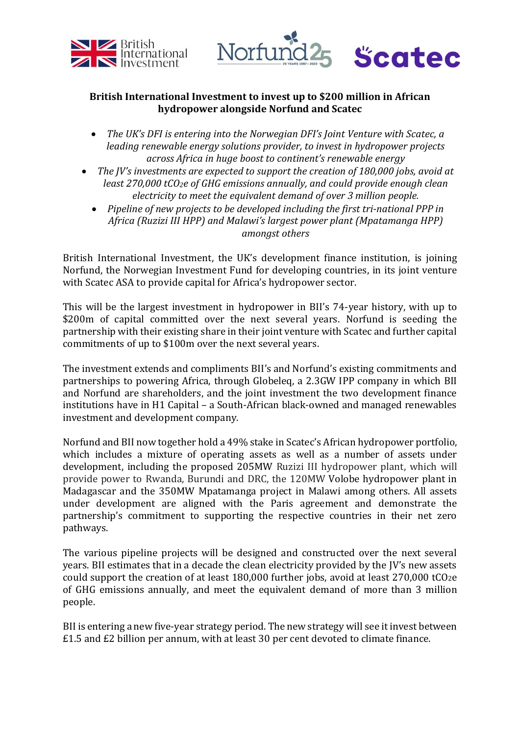



## **British International Investment to invest up to \$200 million in African hydropower alongside Norfund and Scatec**

- *The UK's DFI is entering into the Norwegian DFI's Joint Venture with Scatec, a leading renewable energy solutions provider, to invest in hydropower projects across Africa in huge boost to continent's renewable energy*
- *The JV's investments are expected to support the creation of 180,000 jobs, avoid at least 270,000 tCO2e of GHG emissions annually, and could provide enough clean electricity to meet the equivalent demand of over 3 million people.*
	- *Pipeline of new projects to be developed including the first tri-national PPP in Africa (Ruzizi III HPP) and Malawi's largest power plant (Mpatamanga HPP) amongst others*

British International Investment, the UK's development finance institution, is joining Norfund, the Norwegian Investment Fund for developing countries, in its joint venture with Scatec ASA to provide capital for Africa's hydropower sector.

This will be the largest investment in hydropower in BII's 74-year history, with up to \$200m of capital committed over the next several years. Norfund is seeding the partnership with their existing share in their joint venture with Scatec and further capital commitments of up to \$100m over the next several years.

The investment extends and compliments BII's and Norfund's existing commitments and partnerships to powering Africa, through Globeleq, a 2.3GW IPP company in which BII and Norfund are shareholders, and the joint investment the two development finance institutions have in H1 Capital – a South-African black-owned and managed renewables investment and development company.

Norfund and BII now together hold a 49% stake in Scatec's African hydropower portfolio, which includes a mixture of operating assets as well as a number of assets under development, including the proposed 205MW Ruzizi III hydropower plant, which will provide power to Rwanda, Burundi and DRC, the 120MW Volobe hydropower plant in Madagascar and the 350MW Mpatamanga project in Malawi among others. All assets under development are aligned with the Paris agreement and demonstrate the partnership's commitment to supporting the respective countries in their net zero pathways.

The various pipeline projects will be designed and constructed over the next several years. BII estimates that in a decade the clean electricity provided by the JV's new assets could support the creation of at least 180,000 further jobs, avoid at least  $270,000$  tCO<sub>2</sub>e of GHG emissions annually, and meet the equivalent demand of more than 3 million people.

BII is entering a new five-year strategy period. The new strategy will see it invest between £1.5 and £2 billion per annum, with at least 30 per cent devoted to climate finance.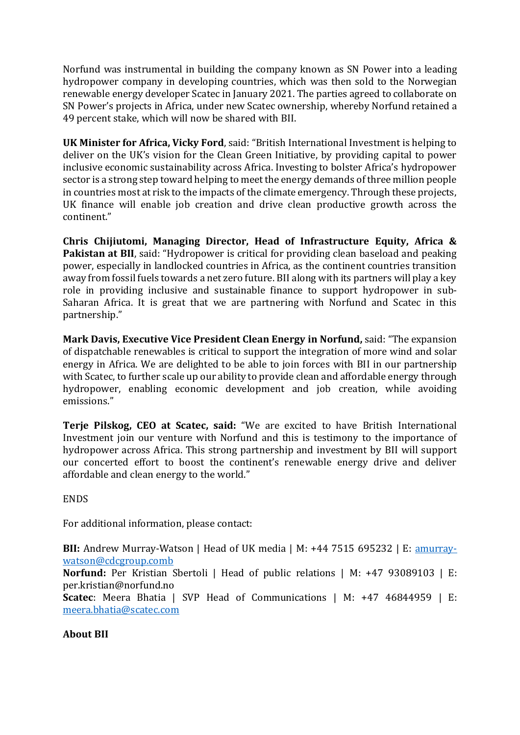Norfund was instrumental in building the company known as SN Power into a leading hydropower company in developing countries, which was then sold to the Norwegian renewable energy developer Scatec in January 2021. The parties agreed to collaborate on SN Power's projects in Africa, under new Scatec ownership, whereby Norfund retained a 49 percent stake, which will now be shared with BII.

**UK Minister for Africa, Vicky Ford**, said: "British International Investment is helping to deliver on the UK's vision for the Clean Green Initiative, by providing capital to power inclusive economic sustainability across Africa. Investing to bolster Africa's hydropower sector is a strong step toward helping to meet the energy demands of three million people in countries most at risk to the impacts of the climate emergency. Through these projects, UK finance will enable job creation and drive clean productive growth across the continent."

**Chris Chijiutomi, Managing Director, Head of Infrastructure Equity, Africa & Pakistan at BII**, said: "Hydropower is critical for providing clean baseload and peaking power, especially in landlocked countries in Africa, as the continent countries transition away from fossil fuels towards a net zero future. BII along with its partners will play a key role in providing inclusive and sustainable finance to support hydropower in sub-Saharan Africa. It is great that we are partnering with Norfund and Scatec in this partnership."

**Mark Davis, Executive Vice President Clean Energy in Norfund,** said: "The expansion of dispatchable renewables is critical to support the integration of more wind and solar energy in Africa. We are delighted to be able to join forces with BII in our partnership with Scatec, to further scale up our ability to provide clean and affordable energy through hydropower, enabling economic development and job creation, while avoiding emissions."

**Terje Pilskog, CEO at Scatec, said:** "We are excited to have British International Investment join our venture with Norfund and this is testimony to the importance of hydropower across Africa. This strong partnership and investment by BII will support our concerted effort to boost the continent's renewable energy drive and deliver affordable and clean energy to the world."

ENDS

For additional information, please contact:

**BII:** Andrew Murray-Watson | Head of UK media | M: +44 7515 695232 | E: **amurray**[watson@cdcgroup.comb](mailto:amurray-watson@cdcgroup.comb)

**Norfund:** Per Kristian Sbertoli | Head of public relations | M: +47 93089103 | E: per.kristian@norfund.no

**Scatec**: Meera Bhatia | SVP Head of Communications | M: +47 46844959 | E: [meera.bhatia@scatec.com](mailto:meera.bhatia@scatec.com)

## **About BII**